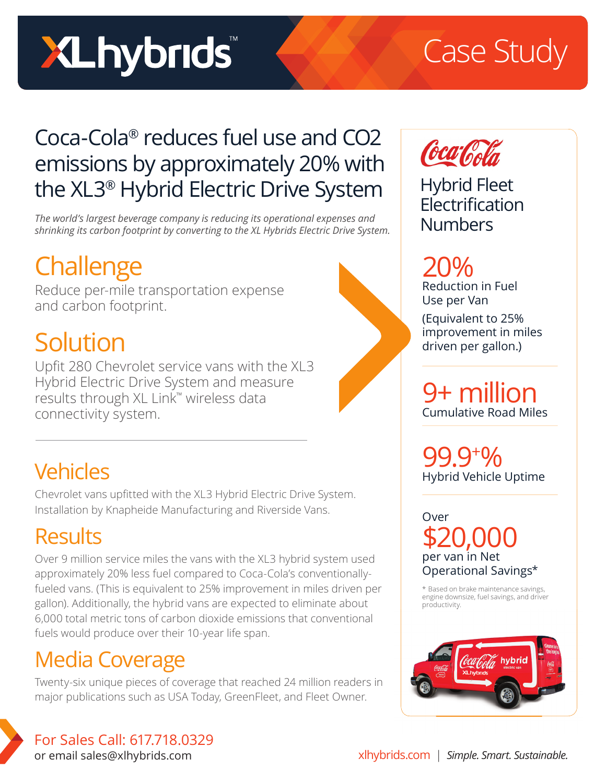# **XLhybrids**

## Case Study

#### Coca-Cola® reduces fuel use and CO2 emissions by approximately 20% with the XL3® Hybrid Electric Drive System

*The world's largest beverage company is reducing its operational expenses and shrinking its carbon footprint by converting to the XL Hybrids Electric Drive System.*

### **Challenge**

Reduce per-mile transportation expense and carbon footprint.

#### Solution

Upfit 280 Chevrolet service vans with the XL3 Hybrid Electric Drive System and measure results through XL Link™ wireless data connectivity system.

#### **Vehicles**

Chevrolet vans upfitted with the XL3 Hybrid Electric Drive System. Installation by Knapheide Manufacturing and Riverside Vans.

#### **Results**

Over 9 million service miles the vans with the XL3 hybrid system used approximately 20% less fuel compared to Coca-Cola's conventionallyfueled vans. (This is equivalent to 25% improvement in miles driven per gallon). Additionally, the hybrid vans are expected to eliminate about 6,000 total metric tons of carbon dioxide emissions that conventional fuels would produce over their 10-year life span.

#### Media Coverage

Twenty-six unique pieces of coverage that reached 24 million readers in major publications such as USA Today, GreenFleet, and Fleet Owner.



Hybrid Fleet **Electrification** Numbers

20% Reduction in Fuel Use per Van

(Equivalent to 25% improvement in miles driven per gallon.)

9+ million Cumulative Road Miles

99.9+ % Hybrid Vehicle Uptime

Over \$20,000 per van in Net Operational Savings\*

\* Based on brake maintenance savings, engine downsize, fuel savings, and driver productivity.



For Sales Call: 617.718.0329